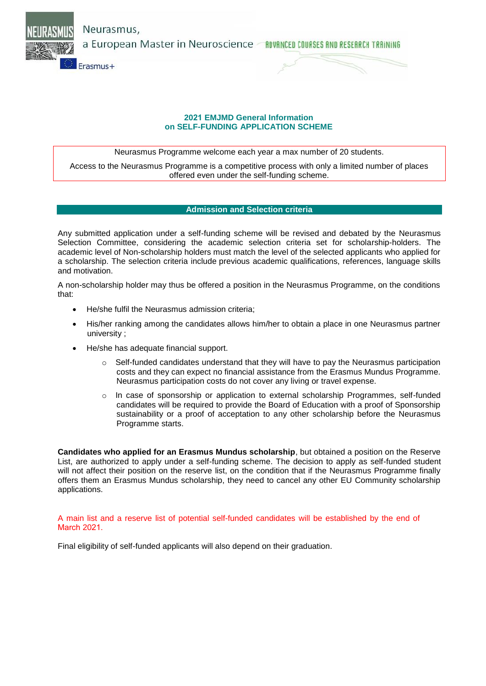Neurasmus,

a European Master in Neuroscience *- ROVANCED COURSES AND RESERRCH TRAINING* 



# **2021 EMJMD General Information on SELF-FUNDING APPLICATION SCHEME**

Neurasmus Programme welcome each year a max number of 20 students.

Access to the Neurasmus Programme is a competitive process with only a limited number of places offered even under the self-funding scheme.

# **Admission and Selection criteria**

Any submitted application under a self-funding scheme will be revised and debated by the Neurasmus Selection Committee, considering the academic selection criteria set for scholarship-holders. The academic level of Non-scholarship holders must match the level of the selected applicants who applied for a scholarship. The selection criteria include previous academic qualifications, references, language skills and motivation.

A non-scholarship holder may thus be offered a position in the Neurasmus Programme, on the conditions that:

- He/she fulfil the Neurasmus admission criteria;
- His/her ranking among the candidates allows him/her to obtain a place in one Neurasmus partner university ;
- He/she has adequate financial support.
	- o Self-funded candidates understand that they will have to pay the Neurasmus participation costs and they can expect no financial assistance from the Erasmus Mundus Programme. Neurasmus participation costs do not cover any living or travel expense.
	- $\circ$  In case of sponsorship or application to external scholarship Programmes, self-funded candidates will be required to provide the Board of Education with a proof of Sponsorship sustainability or a proof of acceptation to any other scholarship before the Neurasmus Programme starts.

**Candidates who applied for an Erasmus Mundus scholarship**, but obtained a position on the Reserve List, are authorized to apply under a self-funding scheme. The decision to apply as self-funded student will not affect their position on the reserve list, on the condition that if the Neurasmus Programme finally offers them an Erasmus Mundus scholarship, they need to cancel any other EU Community scholarship applications.

A main list and a reserve list of potential self-funded candidates will be established by the end of March 2021.

Final eligibility of self-funded applicants will also depend on their graduation.